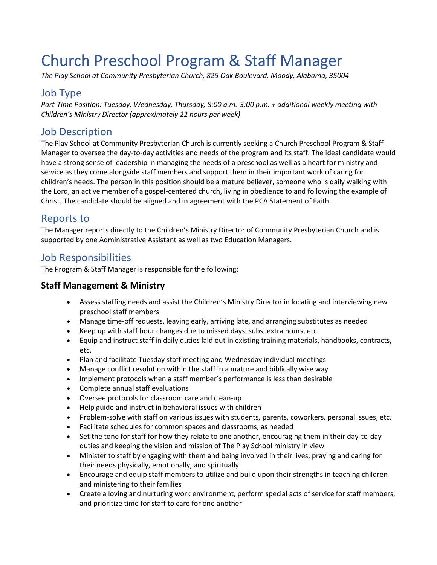# Church Preschool Program & Staff Manager

*The Play School at Community Presbyterian Church, 825 Oak Boulevard, Moody, Alabama, 35004*

### Job Type

*Part-Time Position: Tuesday, Wednesday, Thursday, 8:00 a.m.-3:00 p.m. + additional weekly meeting with Children's Ministry Director (approximately 22 hours per week)* 

## Job Description

The Play School at Community Presbyterian Church is currently seeking a Church Preschool Program & Staff Manager to oversee the day-to-day activities and needs of the program and its staff. The ideal candidate would have a strong sense of leadership in managing the needs of a preschool as well as a heart for ministry and service as they come alongside staff members and support them in their important work of caring for children's needs. The person in this position should be a mature believer, someone who is daily walking with the Lord, an active member of a gospel-centered church, living in obedience to and following the example of Christ. The candidate should be aligned and in agreement with the [PCA Statement of Faith.](https://pcanet.org/about-the-pca-2-2-2/)

## Reports to

The Manager reports directly to the Children's Ministry Director of Community Presbyterian Church and is supported by one Administrative Assistant as well as two Education Managers.

## Job Responsibilities

The Program & Staff Manager is responsible for the following:

#### **Staff Management & Ministry**

- Assess staffing needs and assist the Children's Ministry Director in locating and interviewing new preschool staff members
- Manage time-off requests, leaving early, arriving late, and arranging substitutes as needed
- Keep up with staff hour changes due to missed days, subs, extra hours, etc.
- Equip and instruct staff in daily duties laid out in existing training materials, handbooks, contracts, etc.
- Plan and facilitate Tuesday staff meeting and Wednesday individual meetings
- Manage conflict resolution within the staff in a mature and biblically wise way
- Implement protocols when a staff member's performance is less than desirable
- Complete annual staff evaluations
- Oversee protocols for classroom care and clean-up
- Help guide and instruct in behavioral issues with children
- Problem-solve with staff on various issues with students, parents, coworkers, personal issues, etc.
- Facilitate schedules for common spaces and classrooms, as needed
- Set the tone for staff for how they relate to one another, encouraging them in their day-to-day duties and keeping the vision and mission of The Play School ministry in view
- Minister to staff by engaging with them and being involved in their lives, praying and caring for their needs physically, emotionally, and spiritually
- Encourage and equip staff members to utilize and build upon their strengths in teaching children and ministering to their families
- Create a loving and nurturing work environment, perform special acts of service for staff members, and prioritize time for staff to care for one another